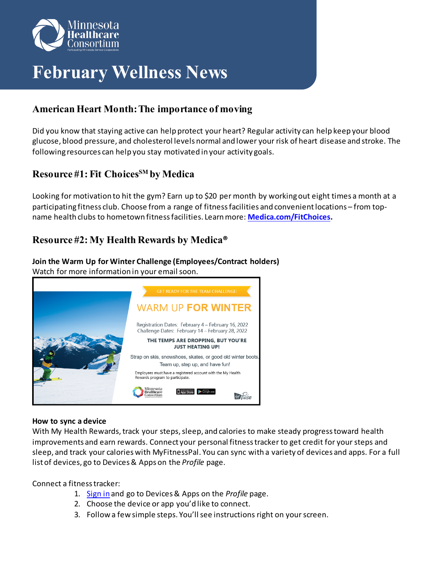

# **February Wellness News**

## **American Heart Month: The importance of moving**

Did you know that staying active can help protect your heart? Regular activity can help keep your blood glucose, blood pressure, and cholesterol levels normal and lower your risk of heart disease and stroke. The following resources can help you stay motivated in your activity goals.

## **Resource #1: Fit ChoicesSM by Medica**

Looking for motivation to hit the gym? Earn up to \$20 per month by working out eight times a month at a participating fitness club. Choose from a range of fitness facilities and convenient locations – from topname health clubs to hometown fitness facilities. Learn more: **[Medica.com/FitChoices.](http://www.medica.com/fitchoices)**

### **Resource #2: My Health Rewards by Medica®**

**Join the Warm Up for Winter Challenge (Employees/Contract holders)** Watch for more information in your email soon.



#### **How to sync a device**

With My Health Rewards, track your steps, sleep, and calories to make steady progress toward health improvements and earn rewards. Connect your personal fitness tracker to get credit for your steps and sleep, and track your calories with MyFitnessPal. You can sync with a variety of devices and apps. For a full list of devices, go to Devices & Apps on the *Profile* page.

Connect a fitness tracker:

- 1. [Sign in](http://www.medica.com/MHRmember) and go to Devices & Apps on the *Profile* page.
- 2. Choose the device or app you'd like to connect.
- 3. Follow a few simple steps. You'll see instructions right on your screen.